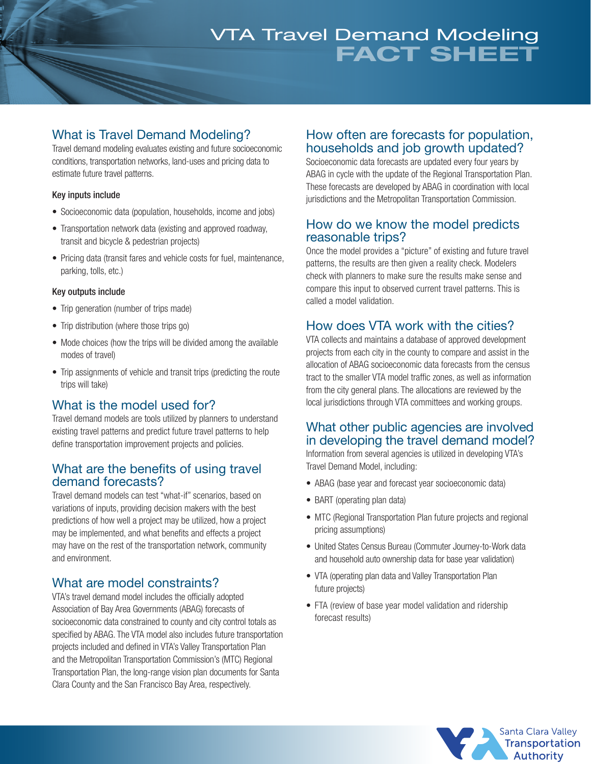# FACT SHEET VTA Travel Demand Modeling

### What is Travel Demand Modeling?

Travel demand modeling evaluates existing and future socioeconomic conditions, transportation networks, land-uses and pricing data to estimate future travel patterns.

#### Key inputs include

- Socioeconomic data (population, households, income and jobs)
- Transportation network data (existing and approved roadway, transit and bicycle & pedestrian projects)
- Pricing data (transit fares and vehicle costs for fuel, maintenance, parking, tolls, etc.)

#### Key outputs include

- Trip generation (number of trips made)
- Trip distribution (where those trips go)
- Mode choices (how the trips will be divided among the available modes of travel)
- Trip assignments of vehicle and transit trips (predicting the route trips will take)

### What is the model used for?

Travel demand models are tools utilized by planners to understand existing travel patterns and predict future travel patterns to help define transportation improvement projects and policies.

#### What are the benefits of using travel demand forecasts?

Travel demand models can test "what-if" scenarios, based on variations of inputs, providing decision makers with the best predictions of how well a project may be utilized, how a project may be implemented, and what benefits and effects a project may have on the rest of the transportation network, community and environment.

### What are model constraints?

VTA's travel demand model includes the officially adopted Association of Bay Area Governments (ABAG) forecasts of socioeconomic data constrained to county and city control totals as specified by ABAG. The VTA model also includes future transportation projects included and defined in VTA's Valley Transportation Plan and the Metropolitan Transportation Commission's (MTC) Regional Transportation Plan, the long-range vision plan documents for Santa Clara County and the San Francisco Bay Area, respectively.

#### How often are forecasts for population, households and job growth updated?

Socioeconomic data forecasts are updated every four years by ABAG in cycle with the update of the Regional Transportation Plan. These forecasts are developed by ABAG in coordination with local jurisdictions and the Metropolitan Transportation Commission.

#### How do we know the model predicts reasonable trips?

Once the model provides a "picture" of existing and future travel patterns, the results are then given a reality check. Modelers check with planners to make sure the results make sense and compare this input to observed current travel patterns. This is called a model validation.

### How does VTA work with the cities?

VTA collects and maintains a database of approved development projects from each city in the county to compare and assist in the allocation of ABAG socioeconomic data forecasts from the census tract to the smaller VTA model traffic zones, as well as information from the city general plans. The allocations are reviewed by the local jurisdictions through VTA committees and working groups.

#### What other public agencies are involved in developing the travel demand model?

Information from several agencies is utilized in developing VTA's Travel Demand Model, including:

- ABAG (base year and forecast year socioeconomic data)
- BART (operating plan data)
- MTC (Regional Transportation Plan future projects and regional pricing assumptions)
- United States Census Bureau (Commuter Journey-to-Work data and household auto ownership data for base year validation)
- VTA (operating plan data and Valley Transportation Plan future projects)
- FTA (review of base year model validation and ridership forecast results)